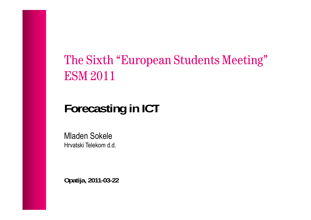# The Sixth "European Students Meeting" ESM 2011

# **Forecasting in ICT**

Mladen Sokele Hrvatski Telekom d.d.

**Opatija, 2011-03-22**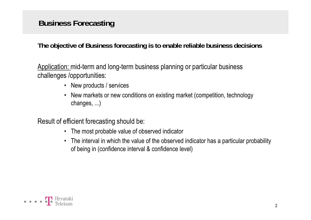### **Business Forecasting**

**The objective of Business forecasting is to enable reliable business decisions**

Application: mid-term and long-term business planning or particular business challenges /opportunities:

- New products / services
- New markets or new conditions on existing market (competition, technology changes, ...)

Result of efficient forecasting should be:

- The most probable value of observed indicator
- The interval in which the value of the observed indicator has a particular probability of being in (confidence interval & confidence level)

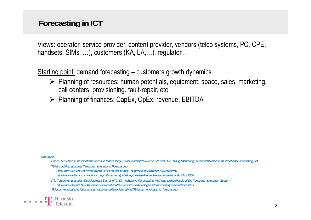### **Forecasting in ICT**

Views: operator, service provider, content provider, vendors (telco systems, PC, CPE, handsets, SIMs, ...), customers (KA, LA, ...), regulator,...

Starting point: demand forecasting – customers growth dynamics

- $\triangleright$  Planning of resources: human potentials, equipment, space, sales, marketing, call centers, provisioning, fault-repair, etc.
- ¾ Planning of finances: CapEx, OpEx, revenue, EBITDA

*Literature:* 

Fildes, R.: Telecommunications demand forecasting - a review http://www.cc.nctu.edu.tw/~etang/Marketing\_Research/TelecommunicationsForecasting.pdf

*Telektronikk magazine: Telecommunications Forecasting*

*http://www.telenor.com/telektronikk/volumes/index.php?page=overview&id1=27&select=all*

*http://www.telenor.com/no/innovasjon/forskning/publikasjoner/telektronikk/volume/telektronikk-3-4-2008*

*ITU Telecommunication Development Sector (ITU-D) - Adjusting Forecasting Methods to the Needs of the Telecommunication Sector http://www itu int/ITU D/finance/work cost tariffs/events/expert dialogues/forecasting/presentations html http://www.itu.int/ITU-D/finance/work-cost-tariffs/events/expert-dialogues/forecasting/presentations.htmlTelecommunications forecasting - http://en.wikipedia.org/wiki/Telecommunications\_forecasting*

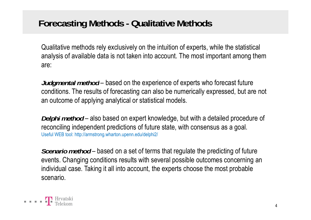# **Forecasting Methods - Qualitative Methods**

Qualitative methods rely exclusively on the intuition of experts, while the statistical analysis of available data is not taken into account. The most important among them are:

*Judgmental method* based on the experience of experts who forecast future conditions. The results of forecasting can also be numerically expressed, but are not an outcome of applying analytical or statistical models.

*Delphi method* – also based on expert knowledge, but with a detailed procedure of reconciling independent predictions of future state, with consensus as a goal. Useful WEB tool: http://armstrong.wharton.upenn.edu/delphi2/

*Scenario method* – based on a set of terms that regulate the predicting of future events. Changing conditions results with several possible outcomes concerning an individual case. Taking it all into account, the experts choose the most probable scenario.

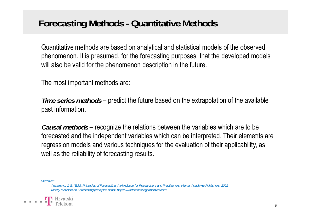# **Forecasting Methods - Quantitative Methods**

Quantitative methods are based on analytical and statistical models of the observed phenomenon. It is presumed, for the forecasting purposes, that the developed models will also be valid for the phenomenon description in the future.

The most important methods are:

*Time series methods* – predict the future based on the extrapolation of the available past information.

*Causal methods* – recognize the relations between the variables which are to be forecasted and the independent variables which can be interpreted. Their elements are regression models and various techniques for the evaluation of their applicability, as well as the reliability of forecasting results.

*Literature:*

Armstrong, J. S. (Eds): Principles of Forecasting: A Handbook for Researchers and Practitioners, Kluwer Academic Publishers, 2001 *Mostly available on Forecasting principles portal: http://www.forecastingprinciples.com/*

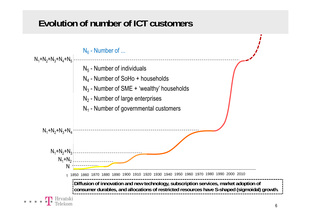# **Evolution of number of ICT customers**

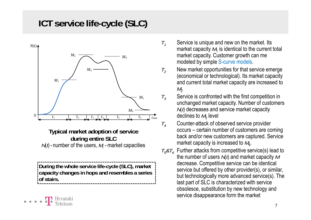# **ICT service life-cycle (SLC)**



**Typical market adoption of service y durin g entire SLC** *N*(*t*) - number of the users, *M*<sub>i</sub> - market capacities

**During the whole service life-cycle (SLC), market capacity changes in hops and resembles a series of stairs.**

- Service is unique and new on the market. Its market capacity  $\mathcal{M}_1$  is identical to the current total market capacity. Customer growth can me modeled by simple S-curve models.
	- New market opportunities for that service emerge (economical or technological). Its market capacity and current total market capacity are increased to  $M<sub>2</sub>$ 
		- Service is confronted with the first competition in unchanged market capacity. Number of customers *N*(*t*) decreases and service market capacity declines to  $\mathit{M}_{3}$  level
	- Counter-attack of observed service provider occurs – certain number of customers are coming back and/or new customers are captured. Service market capacity is increased to  $\mathcal{M}_4$ .
- $T_{5}$ & $T_{6}$  Further attacks from competitive service(s) lead to the number of users *N*(*t*) and market ca pacit y *M* the number of users *N*(*t*) and market capacity *l*<br>decrease. Competitive service can be identical service but offered by other provider(s), or similar, but technologically more advanced service(s). The last part of SLC is characterized with service obsolesce, substitution by new technology and service disappearance form the market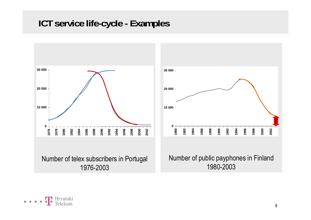# **ICT service life-cycle - Examples**





Number of public payphones in Finland 1980-2003

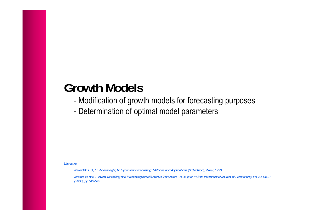# **Growth Models**

- -Modification of growth models for forecasting purposes
- -Determination of optimal model parameters

*Literature:*

*Makridakis, S., S. Wheelwright, R. Hyndman: Forecasting: Methods and Applications (3rd edition), Wiley, 1998*

*Meade, N. and T. Islam: Modelling and forecasting the diffusion of innovation – A 25-year review, International Journal of Forecasting, Vol 22, No. 3 (2006), pp 519-545*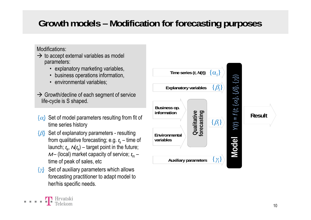# **Growth models – Modification for forecasting purposes**

#### Modifications:

 $\blacksquare$   $\blacksquare$   $\blacksquare$   $\blacksquare$   $\blacksquare$   $\blacksquare$   $\blacksquare$   $\blacksquare$   $\blacksquare$   $\blacksquare$   $\blacksquare$   $\blacksquare$   $\blacksquare$   $\blacksquare$   $\blacksquare$   $\blacksquare$   $\blacksquare$   $\blacksquare$   $\blacksquare$   $\blacksquare$   $\blacksquare$   $\blacksquare$   $\blacksquare$   $\blacksquare$   $\blacksquare$   $\blacksquare$   $\blacksquare$   $\blacksquare$   $\blacksquare$   $\blacksquare$   $\blacksquare$   $\blacks$ 

- $\rightarrow$  to accept external variables as model parameters:
	- explanatory marketing variables,
	- business operations information,
	- environmental variables;
- $\rightarrow$  Growth/decline of each segment of service life-cycle is S shaped.
- {<sup>α</sup>*i*} Set of model parameters resulting from fit of time series history
- {β*i*} Set of explanatory parameters resulting from qualitative forecasting; e.g. *t*<sub>s</sub> – time of launch;  $t_{\rm e}$ ,  $\mathcal{N}(t_{\rm e})$  – target point in the future; *M* – (local) market capacity of service; *t*<sub>m</sub> – time of peak of sales, etc  $\{ \gamma_i \}$
- {γ*i*} Set of auxiliary parameters which allows forecasting practitioner to adapt model to her/his specific needs needs.

| Time series $(t, M(t))$                                   |                            | $\{\alpha_i\}$    |        |               |
|-----------------------------------------------------------|----------------------------|-------------------|--------|---------------|
| <b>Explanatory variables</b>                              |                            |                   |        |               |
| Business op.<br>information                               | Qualitative<br>forecasting | $\{\beta_i\}$     | П      | <b>Result</b> |
| Environmental<br>variables<br><b>Auxiliary parameters</b> |                            | $\mathcal{Y}_i$ , | d<br>Č |               |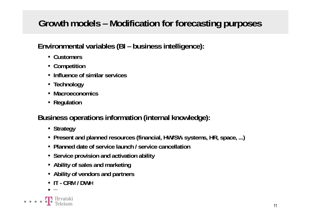# **Growth models – Modification for forecasting purposes**

**Environmental variables (BI – business intelligence):**

- **Customers**
- **Competition**
- **Influence of similar services**
- **Technology**
- **Macroeconomics**
- **Regulation**

**Business operations information (internal knowledge):**

- **Strategy**
- Present and planned resources (financial, HW/SW systems, HR, space, ...)
- **Planned date of service launch / service cancellation**
- **Service provision and activation ability**
- **Ability of sales and marketing**
- **Ability of vendors and partners**
- **IT- CRM/ DWH**
- •**…**

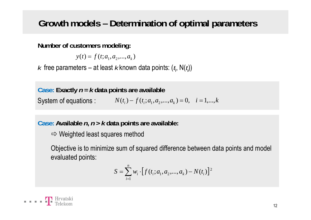# **Growth models – Determination of optimal parameters**

**Number of customers modeling:**

 $y(t) = f(t; a_1, a_2, ..., a_k)$ 

 $k$  free parameters – at least  $k$  known data points:  $({\it t}_{\sf i},\, {\sf N}({\it t}_{\sf j}))$ 

**Case: Exactly**  *n* **=**  *k* **data points are available** System of equations :  $N(t_i) - f(t_i; a_1, a_2, ..., a_k) = 0, \quad i = 1,...,k$ 

**Case: Available**  *n***,** *n* **>**  *k* **data points are available:**

 $\Rightarrow$  Weighted least squares method

Objective is to minimize sum of squared difference between data points and model evaluated points:

$$
S = \sum_{i=1}^{n} w_i \cdot [f(t_i; a_1, a_2, ..., a_k) - N(t_i)]^2
$$

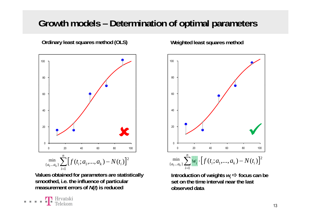# **Growth models – Determination of optimal parameters**

**Ordinary least squares method (OLS) Weighted least squares method**



**Values obtained for parameters are statistically smoothed, i.e. the influence of particular measurement errors of**  *N***(***t***) is reduced observed data**



Introduction of weights  $w_{\text{i}} \Rightarrow$  focus can be **set on the time interval near the last** 

*i*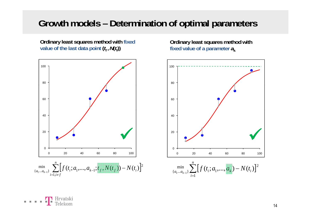## **Growth models – Determination of optimal parameters**

**Ordinary least squares method with fixed**  *v***alue of the last data point**  $(t_{\mathsf{f}}$  **,**  $\mathcal{N}(t_{\mathsf{f}}))$ 



**Ordinary least squares method with fixed value of a parameter**  *a* **k**

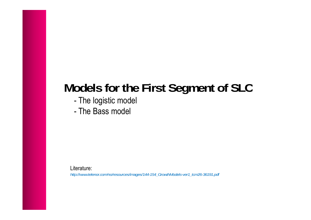# **Models for the First Segment of SLC**

- -The logistic model
- The Bass model

Literature:

*http://www.telenor.com/no/resources/images/144-154\_GrowthModels-ver1\_tcm26-36191.pdf*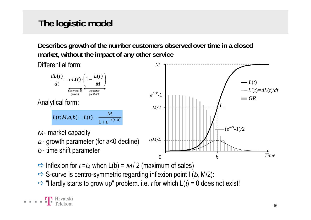# **The logistic model**

**Describes growth of the number customers observed over time in a closed market, without the impact of any other service**



- $\Rightarrow$  Inflexion for *t* =*b*, when L(b) = *M* / 2 (maximum of sales)
- $\Rightarrow$  S-curve is centro-symmetric regarding inflexion point I (*b*, M/2):
- $\Rightarrow$  "Hardly starts to grow up" problem. i.e. *t* for which  $L(t) = 0$  does not exist!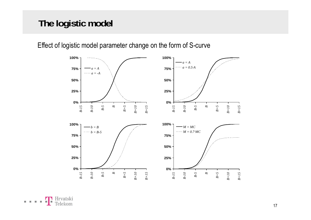# **The logistic model**

**100% 100% 50% 75%** *a = A a = -A* **50% 75%***a = A a = 0.5·A***0%25%** *-15 -10 B-5B B+5 +10 +15* **0%25%** *-15 -10 B-5B B+5 +10 +15 B- B-BBB+B+B- B-BBB+B+* **75%100%** *b = B*  $b = B-5$ **75% 100%** *M = MC M = 0.7·MC* **25% 50% 25%50% 0%** *B-15 B-10 B-5B B+5 B+10 B+15* **0%***B-15 B-10 B-5B B+5 B+10 B+15*

Effect of logistic model parameter change on the form of S-curve

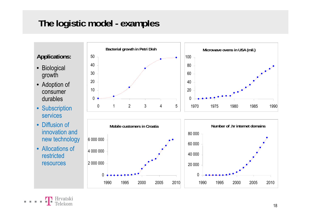# **The logistic model - examples**

**Applications:**

- Biological growth
- Adoption of  $\vert$   $\vert$   $^{20}$ consumer durables
- Subscription services
- Diffusion of innovation and new technology
- Allocations of restricted resources



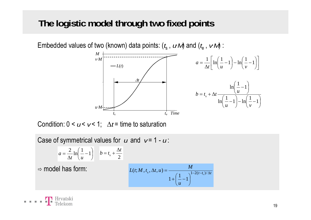## **The logistic model through two fixed points**

Embedded values of two (known) data points: (*t*<sub>s</sub> , *u M*) and (*t*<sub>e</sub> , *v M*) : *M* $v \cdot M$  $\begin{bmatrix} 1 & 1 \\ 1 & 1 \end{bmatrix}$  $\frac{1}{\lambda} \left[ \ln \left( \frac{1}{2} - 1 \right) - \ln \left( \frac{1}{2} - 1 \right) \right]$ Δ*t*  $-L(t)$  $\overline{\phantom{a}}$  $\lfloor \ln \rfloor - -1 \rfloor - \ln \lfloor -1 \rfloor$ ⎣  $\frac{1}{\Delta t} \left| \ln \left( \frac{-1}{u} \right) - \ln \left( \frac{-1}{v} \right) \right|$  $=$   $\frac{1}{\ln}$   $\ln \frac{1}{2}$   $-1$   $\ln \frac{1}{2}$   $-1$ *t* |  $\langle u \rangle$  |  $\langle v \rangle$ *a*  $\left(\frac{1}{-1}\right)$ *u·M*⎟ ⎠  $\left(\frac{1}{-1}\right)$ ⎝  $\int -\ln\left(\frac{1}{v}-\right)$  $\left(\frac{1}{-1}\right)$ ⎝  $\begin{pmatrix} 1 \\ -1 \end{pmatrix}$  $\left(\frac{-1}{u}\right)$  $=t_{\rm c}+\Delta$  $\ln\left(\frac{1}{-1}\right) - \ln\left(\frac{1}{-1}\right)$  $\ln \frac{1}{2} - 1$ s *uv* $b = t + \Delta t$ *t*s $t_e$ *Time* 

Condition: 0 <  $\mu$ <  $\nu$ < 1;  $~\Delta t$ = time to saturation

Case of symmetrical values for *u* and *v* = 1 - *u* :

$$
a = \frac{2}{\Delta t} \ln \left( \frac{1}{u} - 1 \right) \quad b = t_{\rm s} + \frac{\Delta t}{2}
$$

 $\Rightarrow$  model has form:

$$
L(t; M, ts, \Delta t, u) = \frac{M}{1 + \left(\frac{1}{u} - 1\right)^{1 - 2(t - ts)/\Delta t}}
$$

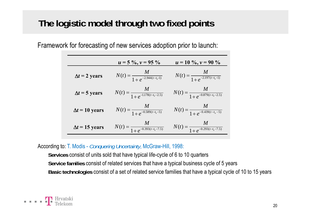# **The logistic model through two fixed points**

Framework for forecasting of new services adoption prior to launch:

|                       | $u = 5\%$ , $v = 95\%$                         | $u = 10 \%$ , $v = 90 \%$                      |
|-----------------------|------------------------------------------------|------------------------------------------------|
| $\Delta t = 2$ years  | $N(t) = \frac{M}{1 + e^{-2.944(t - t_s - 1)}}$ | $N(t) = \frac{M}{1 + e^{-2.197(t - t_s - 1)}}$ |
| $\Delta t = 5$ years  | $N(t) = \frac{M}{1+e^{-1.178(t-t_s-2.5)}}$     | $N(t) = \frac{M}{1+e^{-0.879(t-t_s-2.5)}}$     |
| $\Delta t = 10$ years | $N(t) = \frac{M}{1+e^{-0.589(t-t_s-5)}}$       | $N(t) = \frac{M}{1+e^{-0.439(t-t_s-5)}}$       |
| $\Delta t = 15$ years | $N(t) = \frac{M}{1+e^{-0.393(t-t_s-7.5)}}$     | $N(t) = \frac{M}{1+e^{-0.293(t-t_s-7.5)}}$     |

According to: T. Modis - *Conquering Uncertainty*, McGraw-Hill, 1998:

**Services** consist of units sold that have typical life-cycle of 6 to 10 quarters Service families consist of related services that have a typical business cycle of 5 years **Basic technologies** consist of a set of related service families that have a typical cycle of 10 to 15 years

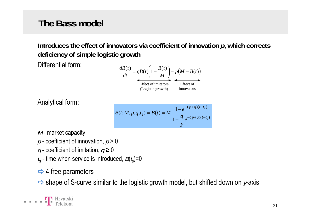# **The Bass model**

**Introduces the effect of innovators via coefficient of innovation** *p***, which corrects deficiency of simple logistic growth** 

Differential form:

$$
\frac{dB(t)}{dt} = qB(t)\left(1 - \frac{B(t)}{M}\right) + p(M - B(t))
$$
  
Effect of imitators  
(Logistic growth) Effect of  
innovators

Analytical form:

$$
B(t; M, p, q, t_s) = B(t) = M \frac{1 - e^{-(p+q)(t-t_s)}}{1 + \frac{q}{p} e^{-(p+q)(t-t_s)}}
$$

- $M$  market capacity
- *p*  coefficient of innovation, *p* > 0
- *q* coefficient of imitation, *q* ≥ 0
- $t_{\rm s}$  time when service is introduced,  $B(t_{\rm s})$ =0
- $\Rightarrow$  4 free parameters
- $\Rightarrow$  shape of S-curve similar to the logistic growth model, but shifted down on *y*-axis

. . . . **.** P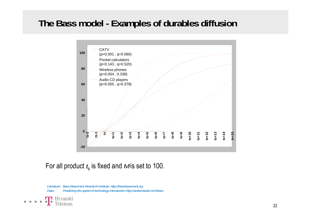# **The Bass model - Examples of durables diffusion**



#### For all product  $t_{\mathsf{s}}$  is fixed and  ${\mathcal{M}}$ is set to 100.

Literature: Bass Basement Research Institute: http://bassbasement.org *Data: Predicting the speed of technology introduction http://andorraweb.com/bass*

**T** Hrvatski Telekom

**TELEVISION**  $\mathcal{A}$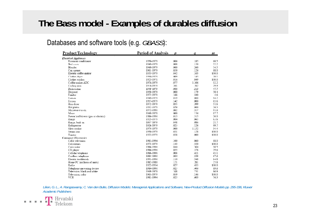## **The Bass model - Examples of durables diffusion**

#### Databases and software tools (e.g. *GBASS*):

| Product/Technology                  | <b>Period of Analysis</b> | $\boldsymbol{v}$ | a     | m     |
|-------------------------------------|---------------------------|------------------|-------|-------|
| <b>Electrical Appliances</b>        |                           |                  |       |       |
| Room air conditioner                | 1950-1979                 | 006              | .185  | 60.5  |
| Bed cover                           | 1949-1979                 | .008             | .130  | 72.2  |
| Blender                             | 1949-1979                 | .000             | .260  | 54.5  |
| Can opener                          | 1961-1979                 | .050             | .126  | 68.0  |
| Electric coffee maker               | 1955-1979                 | .042             | .103  | 100.0 |
| Clothes dryer                       | 1950-1979                 | 009              | 143   | 70.1  |
| Clothes washer                      | 1923-1971                 | .016             | .049  | 100.0 |
| Coffee maker ADC                    | 1974-1979                 | .077             | 1.106 | 32.2  |
| Curling iron                        | 1974-1979                 | .101             | .762  | 29.9  |
| Dishwasher                          | 1949-1979                 | .000             | .213  | 47.7  |
| Disposer                            | 1950-1979                 | .000             | .179  | 50.4  |
| Fondue                              | 1972-1979                 | .166             | .440  | 4.6   |
| Freezer                             | 1949-1979                 | .019             | .000  | 94.2  |
| Frypan                              | 1957-1979                 | .142             | .000  | 65.6  |
| Hair dryer                          | 1972-1979                 | .055             | .399  | 51.6  |
| Hot plates                          | 1932-1979                 | .056             | .000  | 26.3  |
| Microwave oven                      | 1972-1990                 | .002             | .357  | 91.6  |
| Mixer                               | 1949-1979                 | 000              | .134  | 97.7  |
| Power leaf blower (gas or electric) | 1986-1996                 | .013             | .315  | 26.0  |
| Range                               | 1925-1979                 | .004             | .065  | 63.6  |
| Range, built-in                     | 1957-1979                 | .048             | .086  | 21.7  |
| Refrigerator                        | 1926-1979                 | .025             | 126   | 99.7  |
| Slow cooker                         | 1974-1979                 | .000             | 1.152 | 34.4  |
| Steam iron                          | 1950-1979                 | .031             | .128  | 100.0 |
| Toaster                             | 1923-1979                 | .038             | .000  | 100.0 |
| <b>Consumer Electronics</b>         |                           |                  |       |       |
| Cable television                    | 1981-1994                 | .100             | .060  | 68.0  |
| Calculators                         | 1973-1979                 | 143              | .520  | 100.0 |
| Camcorder                           | 1986-1996                 | .044             | .304  | 30.5  |
| CD player                           | 1986-1996                 | .055             | .378  | 29.6  |
| Cellular telephone                  | 1986-1996                 | .008             | .421  | 45.1  |
| Cordless telephone                  | 1984-1996                 | .004             | .338  | 67.6  |
| Electric toothbrush                 | 1991-1996                 | .110             | .548  | 14.8  |
| Home PC (millions of units)         | 1982-1988                 | .121             | .281  | 25.8  |
| Radio                               | 1922-1934                 | .027             | .435  | 100.0 |
| Telephone answering device          | 1984-1996                 | .025             | .406  | 69.6  |
| Television, black and white         | 1949-1979                 | .108             | .231  | 96.9  |
| Television, color                   | 1965-1979                 | .059             | .146  | 100.0 |
| <b>VCR</b>                          | 1981-1994                 | 025              | 603   | 76.3  |

*Lilien, G. L., A. Rangaswamy, C. Van den Bulte, Diffusion Models: Managerial Applications and Software, New-Product Diffusion Models pp. 295-336, Kluwer Academic Publishers*

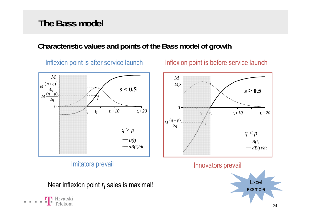## **The Bass model**

### **Characteristic values and points of the Bass model of growth**

Inflexion point is after service launch

n point is after service launch **Inflexion point is before service launch** 

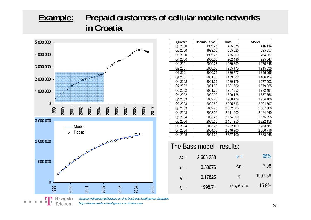### **Example: Prepaid customers of cellular mobile networks in Croatia**



. . . .

| Quarter | Decimal time | Data      | Model       |
|---------|--------------|-----------|-------------|
| Q1 2000 | 1999.25      | 425 078   | 416 114     |
| Q2 2000 | 1999.50      | 585 520   | 595 057     |
| Q3 2000 | 1999.75      | 765 009   | 764 857     |
| Q4 2000 | 2000.00      | 932 490   | 925 047     |
| Q1 2001 | 2000.25      | 1 069 899 | 1075345     |
| Q2 2001 | 2000.50      | 1 205 473 | 1 215 638   |
| Q3 2001 | 2000.75      | 1 330 777 | 1 345 965   |
| Q4 2001 | 2001.00      | 1469382   | 1466494     |
| Q1 2002 | 2001.25      | 1580179   | 1577502     |
| Q2 2002 | 2001.50      | 1681662   | 1679355     |
| Q3 2002 | 2001.75      | 1787853   | 1772481     |
| Q4 2002 | 2002.00      | 1890128   | 1857356     |
| Q1 2003 | 2002.25      | 1950434   | 1934488     |
| Q2 2003 | 2002.50      | 2 005 313 | 2 004 397   |
| Q3 2003 | 2002.75      | 2 052 803 | 2 067 608   |
| Q4 2003 | 2003.00      | 2 111 900 | 2 124 640   |
| Q1 2004 | 2003.25      | 2 154 800 | 2 175 995   |
| Q2 2004 | 2003.50      | 2 181 950 | 2 2 2 1 5 8 |
| Q3 2004 | 2003.75      | 2 232 100 | 2 263 587   |
| Q4 2004 | 2004.00      | 2 348 900 | 2 300 716   |
| Q1 2005 | 2004.25      | 2 357 100 | 2 333 948   |
|         |              |           |             |

#### The Bass model - results:

|                  | $M =$   | 2 603 238 | $V =$                  | 95%      |
|------------------|---------|-----------|------------------------|----------|
|                  | $p =$   | 0.30676   | $\Delta t$ =           | 7.08     |
|                  | $q =$   | 0.17825   | Iı                     | 1997.59  |
| ٦<br><b>2005</b> | $t_s =$ | 1998.71   | $(t_1-t_s)/\Delta t =$ | $-15.8%$ |

*Source: WirelessIntelligence on-line business intelligence database https://www.wirelessintelligence.com/index.aspx*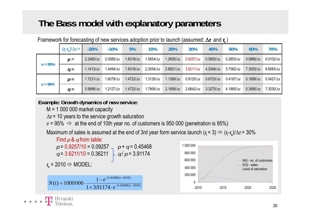# **The Bass model with explanatory parameters**

|            | $(t_1-t_s)/\Delta t =$ | $-20%$            | $-10%$             | $0\%$             | 10%                | 20%                | 30%               | 40%               | 50%                | 60%               | 70%                |
|------------|------------------------|-------------------|--------------------|-------------------|--------------------|--------------------|-------------------|-------------------|--------------------|-------------------|--------------------|
| $v = 95%$  | $p =$                  | $2.2480/\Delta t$ | $2.0585/\Delta t$  | $1.8318/\Delta t$ | .5654/ $\Delta t$  | 1.2605/ $\Delta t$ | $0.9257/\Delta t$ | $0.5850/\Delta t$ | $0.2853/\Delta t$  | $0.0866/\Delta t$ | $0.0102/\Delta t$  |
|            | $q =$                  | $1.1413/\Delta t$ | $1.4494/\Delta t$  | $1.8318/\Delta t$ | $2.3054/\Delta t$  | $2.8921/\Delta t$  | $3.6211/\Delta t$ | $4.5346/\Delta t$ | 5.7062/ $\Delta t$ | $7.3055/\Delta t$ | 9.8083/ $\Delta t$ |
| $v = 90\%$ | $p =$                  | $1.7231/\Delta t$ | 1.6079/ $\Delta t$ | $1.4722/\Delta t$ | 1.3129/ $\Delta t$ | $1.1269/\Delta t$  | $0.9125/\Delta t$ | $0.6720/\Delta t$ | $0.4187/\Delta t$  | $0.1889/\Delta t$ | $0.0427/\Delta t$  |
|            | $q =$                  | $0.9996/\Delta t$ | 1.2127/ $\Delta t$ | $1.4722/\Delta t$ | .7906/ $\Delta t$  | $2.1858/\Delta t$  | $2.6842/\Delta t$ | $3.3275/\Delta t$ | 4.1865/ $\Delta t$ | $5.3995/\Delta t$ | 7.3030/ $\Delta t$ |

Framework for forecasting of new services adoption prior to launch (assumed: Δ*t* and *t***I** )

**Example: Growth dynamics of new service:**

M = 1 000 000 market capacity

**B. K. K. B.** 

 $\Delta t$ = 10 years to the service growth saturation

v = 95%  $\;\Rightarrow\;$  at the end of 10th year no. of customers is 950 000 (penetration is 95%)

Maximum of sales is assumed at the end of 3rd year form service launch (*t*<sub>I</sub> = 3) ➾ (*t*<sub>I</sub>-*t<sub>s</sub>)/*∆*t* = 30% I

Find p & q from table:  
\n
$$
p = 0.9257/10 = 0.09257
$$
  
\n $q = 3.6211/10 = 0.36211$   
\n $t_s = 2010 \Rightarrow \text{MODEL:}$   
\n $N(t) = 1000000 \cdot \frac{1 - e^{-0.45468(t-2010)}}{1 + 3.91174 \cdot e^{-0.45468(t-2010)}}$ 

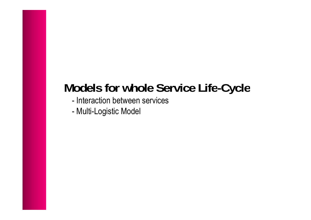# **Models for whole Service Life -Cycle**

- Interaction between services
- Multi -Logistic Model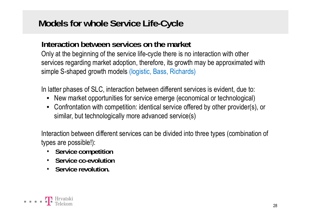# **Models for whole Service Life-Cycle**

#### **Interaction between services on the market**

Only at the beginning of the service life-cycle there is no interaction with other services regarding market adoption, therefore, its growth may be approximated with simple S-shaped growth models (logistic, Bass, Richards)

In latter phases of SLC, interaction between different services is evident, due to:

- New market opportunities for service emerge (economical or technological)
- Confrontation with competition: identical service offered by other provider(s), or similar, but technologically more advanced service(s)

Interaction between different services can be divided into three types (combination of types are possible!):

- **Service competition**
- **Service co-evolution**
- **Service revolution.**

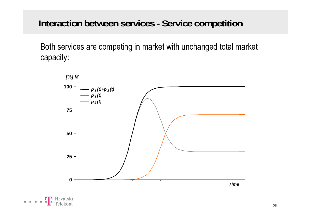# **Interaction between services - Service competition**

Both services are competing in market with unchanged total market capacity:

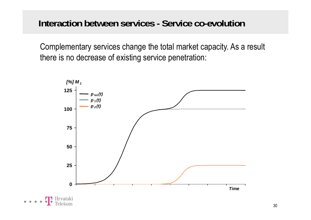**Interaction between services - Service co-evolution**

Complementary services change the total market capacity. As a result there is no decrease of existing service penetration:



**B. B. B.**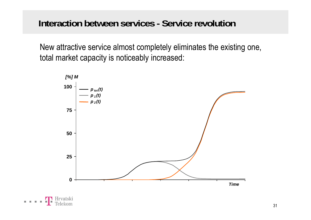## **Interaction between services - Service revolution**

New attractive service almost completely eliminates the existing one, total market capacity is noticeably increased:



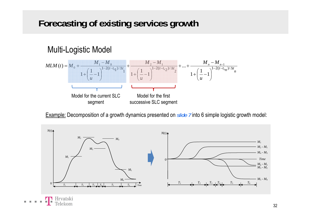# **Forecasting of existing services growth**

### Multi-Logistic Model

E E



Example: Decomposition of a growth dynamics presented on *slide 7* into 6 simple logistic growth model:

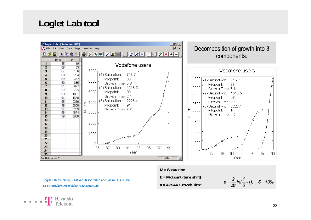## **Loglet Lab tool**



#### **M = Saturation**

Loglet Lab by Perrin S. Meyer, Jason Yung and Jesse H. Ausubel URL: http://phe.rockefeller.edu/LogletLab/  $a = 4.3944$ / Growth Tim

**b = Midpoint (time shift) a = 4 3944/ Growth Time**

$$
a=\frac{2}{\Delta t}ln(\frac{1}{\delta}-1),\quad \delta=10\%
$$

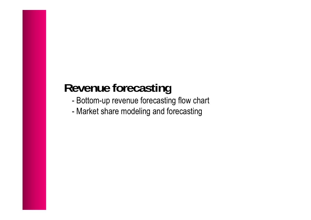# **Revenue forecasting**

- -Bottom-up revenue forecasting flow chart
- -Market share modeling and forecasting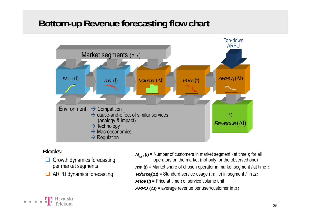# **Bottom-up Revenue forecasting flow chart**



#### **Blocks:**

**TH** Hrvatski

Telekom

- Growth dynamics forecasting per market segments
- **ARPU dynamics forecasting**
- *N*<sub>tot *i*</sub> (*ξ*) = Number of customers in market segment *i* at time *t*; for all operators on the market (not only for the observed one) *ms***i (***t***)** = Market share of chosen operator in market segment *<sup>i</sup>* at time *t*; *Volume*<sub>**i</sub>** $(\Delta t)$  **= Standard service usage (traffic) in segment** *i* **in**  $\Delta t$ **</sub>** *Price* **(***t***)** = Price at time *t* of service volume unit  ${\it ARPU}_{\bf i}(\Delta\hskip.03cm l)$  = average revenue per user/customer in  $\Delta t$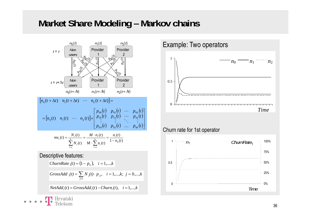### **Market Share Modeling – Markov chains**





#### Churn rate for 1st operator

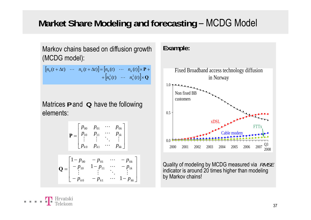# Market Share Modeling and forecasting – MCDG Model

Markov chains based on diffusion growth (MCDG model):

$$
\begin{bmatrix} n_0(t + \Delta t) & \cdots & n_k(t + \Delta t) \end{bmatrix} = \begin{bmatrix} n_0(t) & \cdots & n_k(t) \end{bmatrix} \times \mathbf{P} + \begin{bmatrix} n_0^2(t) & \cdots & n_k^2(t) \end{bmatrix} \times \mathbf{Q}
$$

Matrices **P** and **Q** have the following elements: $\sim$  0.5

$$
\mathbf{P} = \begin{bmatrix} p_{00} & p_{01} & \cdots & p_{0k} \\ p_{10} & p_{11} & \cdots & p_{1k} \\ \vdots & \vdots & \ddots & \vdots \\ p_{k0} & p_{k1} & \cdots & p_{kk} \end{bmatrix}
$$

$$
\mathbf{Q} = \begin{bmatrix} 1-p_{00} & -p_{01} & \cdots & -p_{0k} \\ -p_{10} & 1-p_{11} & \cdots & -p_{1k} \\ \vdots & \vdots & \ddots & \vdots \\ -p_{k0} & -p_{k1} & \cdots & 1-p_{kk} \end{bmatrix}
$$





Quality of modeling by MCDG measured via *RMSE* indicator is around 20 times higher than modeling<br>by Markov chains!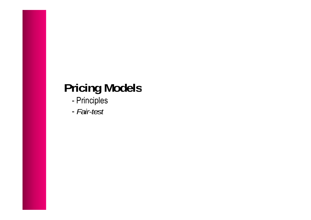# **Pricing Models**

- -Principles
- *Fair-test*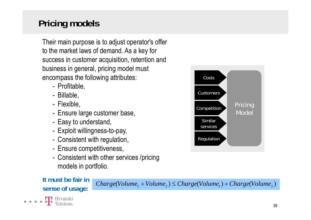# **Pricing models**

Their main purpose is to adjust operator's offer to the market laws of demand. As a key for success in customer acquisition, retention and business in general, pricing model must encompass the following attributes:

- Profitable,
- Billable,
- Flexible,
- -Ensure large customer base, the contract of the contract of the Model
- -Easy to understand,
- -Exploit willingness-to-pay,
- -Consistent with regulation,
- -Ensure competitiveness,
- Consistent with other services /pricing<br>models in portfolio.

# **It must be fair in**

T Hrvatski

. . . .

*Charge*(*Volume*<sub>1</sub> + *Volume*<sub>2</sub>)  $\leq$  *Charge*(*Volume*<sub>1</sub>) + *Charge*(*Volume*<sub>2</sub>) **sense of usage:**  $\sum_{i=1}^{n}$   $\sum_{i=1}^{n}$   $\sum_{i=1}^{n}$   $\sum_{i=1}^{n}$   $\sum_{i=1}^{n}$   $\sum_{i=1}^{n}$   $\sum_{i=1}^{n}$   $\sum_{i=1}^{n}$   $\sum_{i=1}^{n}$   $\sum_{i=1}^{n}$   $\sum_{i=1}^{n}$   $\sum_{i=1}^{n}$ 



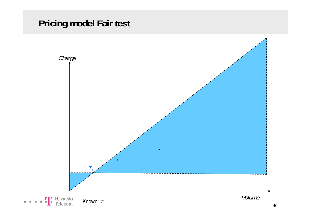# **Pricing model Fair test**

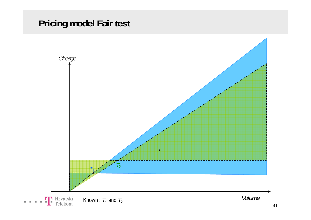# **Pricing model Fair test**

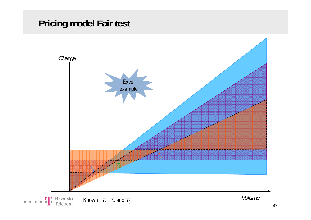# **Pricing model Fair test**



*Volume*Known :  $T_1$ ,  $T_2$  and  $T_3$